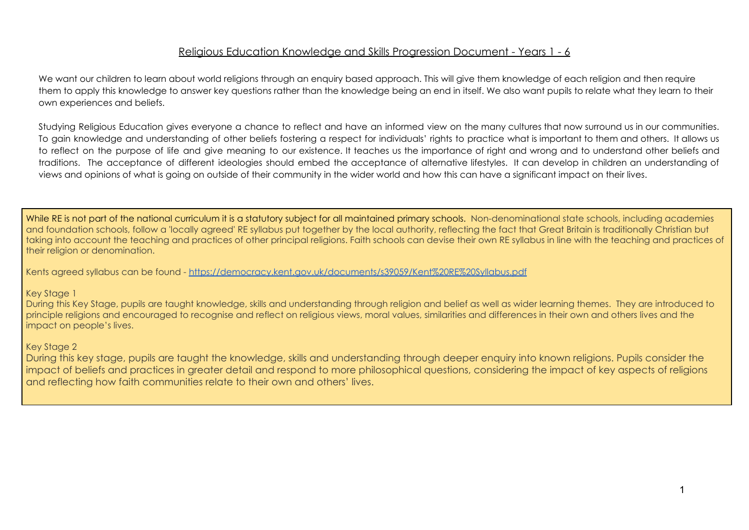## Religious Education Knowledge and Skills Progression Document - Years 1 - 6

We want our children to learn about world religions through an enquiry based approach. This will give them knowledge of each religion and then require them to apply this knowledge to answer key questions rather than the knowledge being an end in itself. We also want pupils to relate what they learn to their own experiences and beliefs.

Studying Religious Education gives everyone a chance to reflect and have an informed view on the many cultures that now surround us in our communities. To gain knowledge and understanding of other beliefs fostering a respect for individuals' rights to practice what is important to them and others. It allows us to reflect on the purpose of life and give meaning to our existence. It teaches us the importance of right and wrong and to understand other beliefs and traditions. The acceptance of different ideologies should embed the acceptance of alternative lifestyles. It can develop in children an understanding of views and opinions of what is going on outside of their community in the wider world and how this can have a significant impact on their lives.

While RE is not part of the national curriculum it is a statutory subject for all maintained primary schools. Non-denominational state schools, including academies and foundation schools, follow a 'locally agreed' RE syllabus put together by the local authority, reflecting the fact that Great Britain is traditionally Christian but taking into account the teaching and practices of other principal religions. Faith schools can devise their own RE syllabus in line with the teaching and practices of their religion or denomination.

Kents agreed syllabus can be found - <https://democracy.kent.gov.uk/documents/s39059/Kent%20RE%20Syllabus.pdf>

## Key Stage 1

During this Key Stage, pupils are taught knowledge, skills and understanding through religion and belief as well as wider learning themes. They are introduced to principle religions and encouraged to recognise and reflect on religious views, moral values, similarities and differences in their own and others lives and the impact on people's lives.

## Key Stage 2

During this key stage, pupils are taught the knowledge, skills and understanding through deeper enquiry into known religions. Pupils consider the impact of beliefs and practices in greater detail and respond to more philosophical questions, considering the impact of key aspects of religions and reflecting how faith communities relate to their own and others' lives.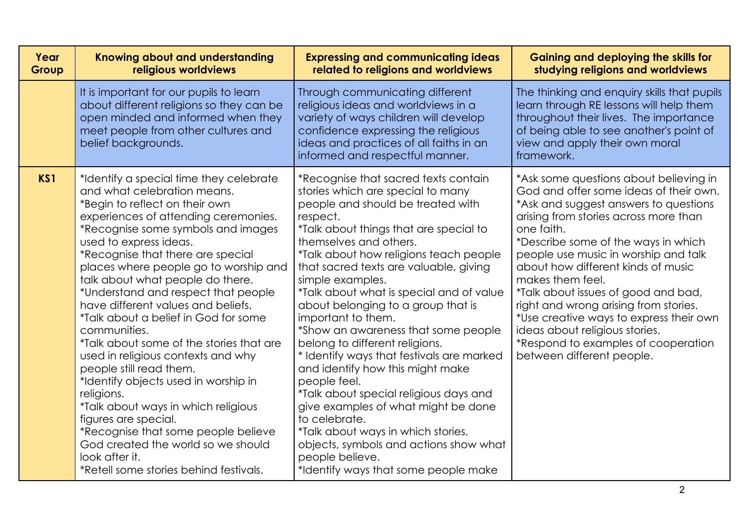| Year<br>Group | Knowing about and understanding<br>religious worldviews                                                                                                                                                                                                                                                                                                                                                                                                                                                                                                                                                                                                                                                                                                                                                                                            | <b>Expressing and communicating ideas</b><br>related to religions and worldviews                                                                                                                                                                                                                                                                                                                                                                                                                                                                                                                                                                                                                                                                                                                                                      | <b>Gaining and deploying the skills for</b><br>studying religions and worldviews                                                                                                                                                                                                                                                                                                                                                                                                                                                                           |
|---------------|----------------------------------------------------------------------------------------------------------------------------------------------------------------------------------------------------------------------------------------------------------------------------------------------------------------------------------------------------------------------------------------------------------------------------------------------------------------------------------------------------------------------------------------------------------------------------------------------------------------------------------------------------------------------------------------------------------------------------------------------------------------------------------------------------------------------------------------------------|---------------------------------------------------------------------------------------------------------------------------------------------------------------------------------------------------------------------------------------------------------------------------------------------------------------------------------------------------------------------------------------------------------------------------------------------------------------------------------------------------------------------------------------------------------------------------------------------------------------------------------------------------------------------------------------------------------------------------------------------------------------------------------------------------------------------------------------|------------------------------------------------------------------------------------------------------------------------------------------------------------------------------------------------------------------------------------------------------------------------------------------------------------------------------------------------------------------------------------------------------------------------------------------------------------------------------------------------------------------------------------------------------------|
|               | It is important for our pupils to learn<br>about different religions so they can be<br>open minded and informed when they<br>meet people from other cultures and<br>belief backgrounds.                                                                                                                                                                                                                                                                                                                                                                                                                                                                                                                                                                                                                                                            | Through communicating different<br>religious ideas and worldviews in a<br>variety of ways children will develop<br>confidence expressing the religious<br>ideas and practices of all faiths in an<br>informed and respectful manner.                                                                                                                                                                                                                                                                                                                                                                                                                                                                                                                                                                                                  | The thinking and enquiry skills that pupils<br>learn through RE lessons will help them<br>throughout their lives. The importance<br>of being able to see another's point of<br>view and apply their own moral<br>framework.                                                                                                                                                                                                                                                                                                                                |
| KS1           | *Identify a special time they celebrate<br>and what celebration means.<br>*Begin to reflect on their own<br>experiences of attending ceremonies.<br>*Recognise some symbols and images<br>used to express ideas.<br>*Recognise that there are special<br>places where people go to worship and<br>talk about what people do there.<br>*Understand and respect that people<br>have different values and beliefs.<br>*Talk about a belief in God for some<br>communities.<br>*Talk about some of the stories that are<br>used in religious contexts and why<br>people still read them.<br>*Identify objects used in worship in<br>religions.<br>*Talk about ways in which religious<br>figures are special.<br>*Recognise that some people believe<br>God created the world so we should<br>look after it.<br>*Retell some stories behind festivals. | *Recognise that sacred texts contain<br>stories which are special to many<br>people and should be treated with<br>respect.<br>*Talk about things that are special to<br>themselves and others.<br>*Talk about how religions teach people<br>that sacred texts are valuable, giving<br>simple examples.<br>*Talk about what is special and of value<br>about belonging to a group that is<br>important to them.<br>*Show an awareness that some people<br>belong to different religions.<br>* Identify ways that festivals are marked<br>and identify how this might make<br>people feel.<br>*Talk about special religious days and<br>give examples of what might be done<br>to celebrate.<br>*Talk about ways in which stories,<br>objects, symbols and actions show what<br>people believe.<br>*Identify ways that some people make | *Ask some questions about believing in<br>God and offer some ideas of their own.<br>*Ask and suggest answers to questions<br>arising from stories across more than<br>one faith.<br>*Describe some of the ways in which<br>people use music in worship and talk<br>about how different kinds of music<br>makes them feel.<br>*Talk about issues of good and bad,<br>right and wrong arising from stories.<br>*Use creative ways to express their own<br>ideas about religious stories.<br>*Respond to examples of cooperation<br>between different people. |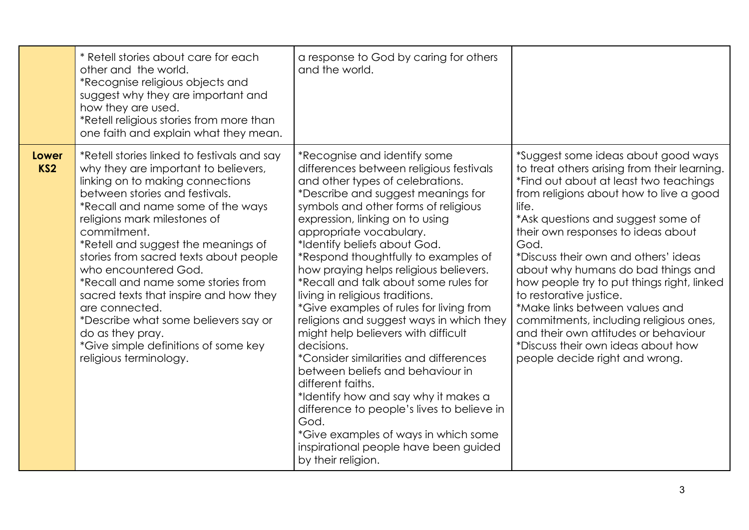|                                 | * Retell stories about care for each<br>other and the world.<br>*Recognise religious objects and<br>suggest why they are important and<br>how they are used.<br>*Retell religious stories from more than<br>one faith and explain what they mean.                                                                                                                                                                                                                                                                                                                                      | a response to God by caring for others<br>and the world.                                                                                                                                                                                                                                                                                                                                                                                                                                                                                                                                                                                                                                                                                                                                                                                                                                                         |                                                                                                                                                                                                                                                                                                                                                                                                                                                                                                                                                                                                                          |
|---------------------------------|----------------------------------------------------------------------------------------------------------------------------------------------------------------------------------------------------------------------------------------------------------------------------------------------------------------------------------------------------------------------------------------------------------------------------------------------------------------------------------------------------------------------------------------------------------------------------------------|------------------------------------------------------------------------------------------------------------------------------------------------------------------------------------------------------------------------------------------------------------------------------------------------------------------------------------------------------------------------------------------------------------------------------------------------------------------------------------------------------------------------------------------------------------------------------------------------------------------------------------------------------------------------------------------------------------------------------------------------------------------------------------------------------------------------------------------------------------------------------------------------------------------|--------------------------------------------------------------------------------------------------------------------------------------------------------------------------------------------------------------------------------------------------------------------------------------------------------------------------------------------------------------------------------------------------------------------------------------------------------------------------------------------------------------------------------------------------------------------------------------------------------------------------|
| <b>Lower</b><br>KS <sub>2</sub> | *Retell stories linked to festivals and say<br>why they are important to believers,<br>linking on to making connections<br>between stories and festivals.<br>*Recall and name some of the ways<br>religions mark milestones of<br>commitment.<br>*Retell and suggest the meanings of<br>stories from sacred texts about people<br>who encountered God.<br>*Recall and name some stories from<br>sacred texts that inspire and how they<br>are connected.<br>*Describe what some believers say or<br>do as they pray.<br>*Give simple definitions of some key<br>religious terminology. | *Recognise and identify some<br>differences between religious festivals<br>and other types of celebrations.<br>*Describe and suggest meanings for<br>symbols and other forms of religious<br>expression, linking on to using<br>appropriate vocabulary.<br>*Identify beliefs about God.<br>*Respond thoughtfully to examples of<br>how praying helps religious believers.<br>*Recall and talk about some rules for<br>living in religious traditions.<br>*Give examples of rules for living from<br>religions and suggest ways in which they<br>might help believers with difficult<br>decisions.<br><i>*Consider similarities and differences</i><br>between beliefs and behaviour in<br>different faiths.<br>*Identify how and say why it makes a<br>difference to people's lives to believe in<br>God.<br>*Give examples of ways in which some<br>inspirational people have been guided<br>by their religion. | *Suggest some ideas about good ways<br>to treat others arising from their learning.<br>*Find out about at least two teachings<br>from religions about how to live a good<br>life.<br>*Ask questions and suggest some of<br>their own responses to ideas about<br>God.<br>*Discuss their own and others' ideas<br>about why humans do bad things and<br>how people try to put things right, linked<br>to restorative justice.<br>*Make links between values and<br>commitments, including religious ones,<br>and their own attitudes or behaviour<br>*Discuss their own ideas about how<br>people decide right and wrong. |